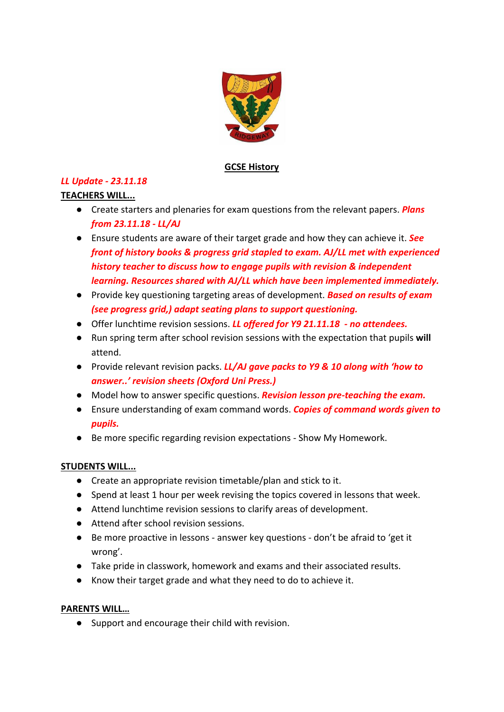

### **GCSE History**

# *LL Update - 23.11.18*

### **TEACHERS WILL...**

- Create starters and plenaries for exam questions from the relevant papers. *Plans from 23.11.18 - LL/AJ*
- Ensure students are aware of their target grade and how they can achieve it. *See front of history books & progress grid stapled to exam. AJ/LL met with experienced history teacher to discuss how to engage pupils with revision & independent learning. Resources shared with AJ/LL which have been implemented immediately.*
- Provide key questioning targeting areas of development. *Based on results of exam (see progress grid,) adapt seating plans to support questioning.*
- Offer lunchtime revision sessions. *LL offered for Y9 21.11.18 - no attendees.*
- Run spring term after school revision sessions with the expectation that pupils **will** attend.
- Provide relevant revision packs. *LL/AJ gave packs to Y9 & 10 along with 'how to answer..' revision sheets (Oxford Uni Press.)*
- Model how to answer specific questions. *Revision lesson pre-teaching the exam.*
- Ensure understanding of exam command words. *Copies of command words given to pupils.*
- Be more specific regarding revision expectations Show My Homework.

### **STUDENTS WILL...**

- Create an appropriate revision timetable/plan and stick to it.
- Spend at least 1 hour per week revising the topics covered in lessons that week.
- Attend lunchtime revision sessions to clarify areas of development.
- Attend after school revision sessions.
- Be more proactive in lessons answer key questions don't be afraid to 'get it wrong'.
- Take pride in classwork, homework and exams and their associated results.
- Know their target grade and what they need to do to achieve it.

# **PARENTS WILL…**

● Support and encourage their child with revision.